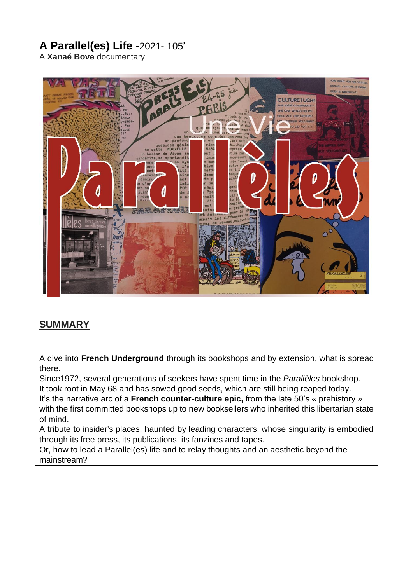# **A Parallel(es) Life** -2021- 105'

A **Xanaé Bove** documentary



### **SUMMARY**

A dive into **French Underground** through its bookshops and by extension, what is spread there.

Since1972, several generations of seekers have spent time in the *Parallèles* bookshop. It took root in May 68 and has sowed good seeds, which are still being reaped today.

It's the narrative arc of a **French counter-culture epic,** from the late 50's « prehistory » with the first committed bookshops up to new booksellers who inherited this libertarian state of mind.

A tribute to insider's places, haunted by leading characters, whose singularity is embodied through its free press, its publications, its fanzines and tapes.

Or, how to lead a Parallel(es) life and to relay thoughts and an aesthetic beyond the mainstream?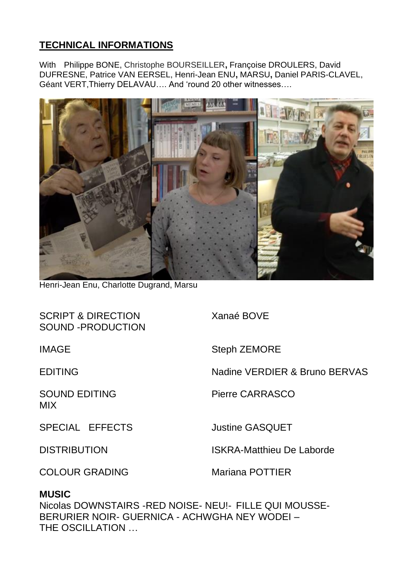## **TECHNICAL INFORMATIONS**

With Philippe BONE, Christophe BOURSEILLER**,** Françoise DROULERS, David DUFRESNE, Patrice VAN EERSEL, Henri-Jean ENU**,** MARSU**,** Daniel PARIS-CLAVEL, Géant VERT,Thierry DELAVAU…. And 'round 20 other witnesses….



Henri-Jean Enu, Charlotte Dugrand, Marsu

| <b>SCRIPT &amp; DIRECTION</b><br>SOUND-PRODUCTION | Xanaé BOVE                       |
|---------------------------------------------------|----------------------------------|
| <b>IMAGE</b>                                      | <b>Steph ZEMORE</b>              |
| <b>EDITING</b>                                    | Nadine VERDIER & Bruno BERVAS    |
| <b>SOUND EDITING</b><br><b>MIX</b>                | <b>Pierre CARRASCO</b>           |
| SPECIAL EFFECTS                                   | <b>Justine GASQUET</b>           |
| <b>DISTRIBUTION</b>                               | <b>ISKRA-Matthieu De Laborde</b> |
|                                                   |                                  |

COLOUR GRADING Mariana POTTIER

### **MUSIC**

Nicolas DOWNSTAIRS -RED NOISE- NEU!- FILLE QUI MOUSSE-BERURIER NOIR- GUERNICA - ACHWGHA NEY WODEI – THE OSCILLATION …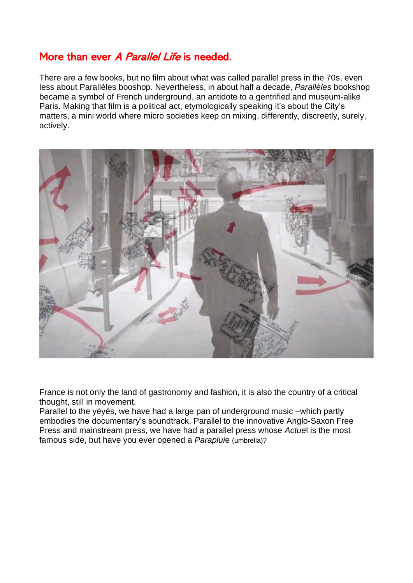## More than ever A Parallel Life is needed.

There are a few books, but no film about what was called parallel press in the 70s, even less about Parallèles booshop. Nevertheless, in about half a decade, *Parallèles* bookshop became a symbol of French underground, an antidote to a gentrified and museum-alike Paris. Making that film is a political act, etymologically speaking it's about the City's matters, a mini world where micro societies keep on mixing, differently, discreetly, surely, actively.



France is not only the land of gastronomy and fashion, it is also the country of a critical thought, still in movement.

Parallel to the yéyés, we have had a large pan of underground music –which partly embodies the documentary's soundtrack. Parallel to the innovative Anglo-Saxon Free Press and mainstream press, we have had a parallel press whose *Actue*l is the most famous side, but have you ever opened a *Paraplui*e (umbrella)?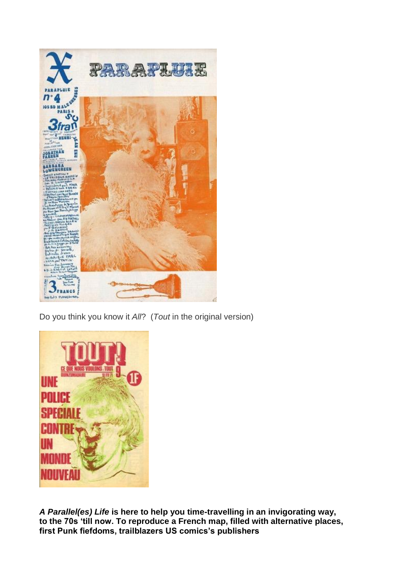

Do you think you know it *All*? (*Tout* in the original version)



*A Parallel(es) Life* **is here to help you time-travelling in an invigorating way, to the 70s 'till now. To reproduce a French map, filled with alternative places, first Punk fiefdoms, trailblazers US comics's publishers**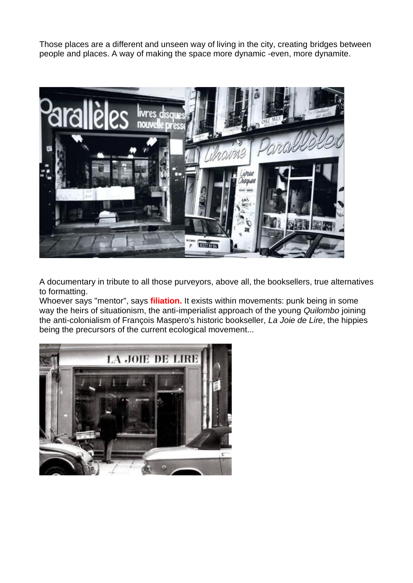Those places are a different and unseen way of living in the city, creating bridges between people and places. A way of making the space more dynamic -even, more dynamite.



A documentary in tribute to all those purveyors, above all, the booksellers, true alternatives to formatting.

Whoever says "mentor", says **filiation.** It exists within movements: punk being in some way the heirs of situationism, the anti-imperialist approach of the young *Quilombo* joining the anti-colonialism of François Maspero's historic bookseller, *La Joie de Lire*, the hippies being the precursors of the current ecological movement...

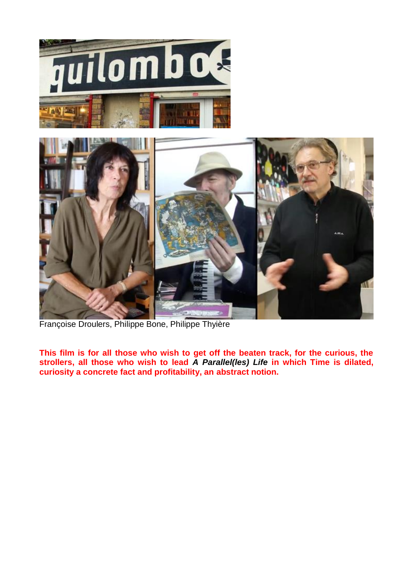

Françoise Droulers, Philippe Bone, Philippe Thyière

**This film is for all those who wish to get off the beaten track, for the curious, the strollers, all those who wish to lead** *A Parallel(les) Life* **in which Time is dilated, curiosity a concrete fact and profitability, an abstract notion.**